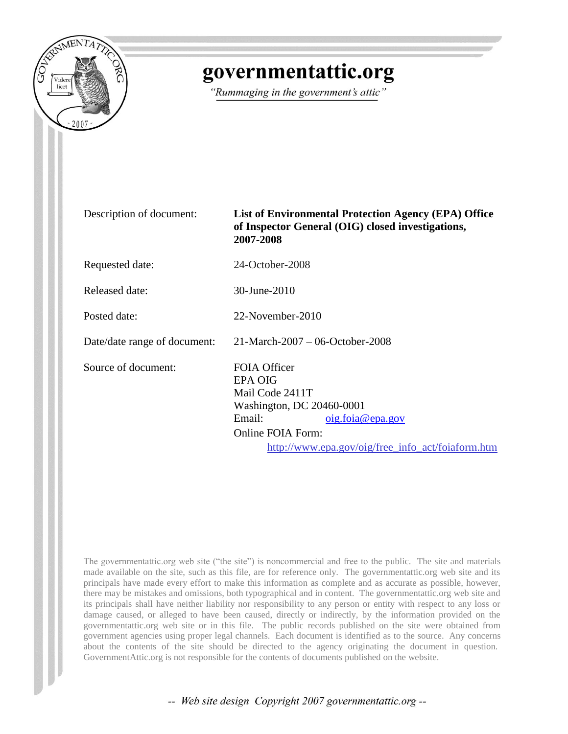

## governmentattic.org

"Rummaging in the government's attic"

| Description of document:     | <b>List of Environmental Protection Agency (EPA) Office</b><br>of Inspector General (OIG) closed investigations,<br>2007-2008                                                                        |
|------------------------------|------------------------------------------------------------------------------------------------------------------------------------------------------------------------------------------------------|
| Requested date:              | 24-October-2008                                                                                                                                                                                      |
| Released date:               | 30-June-2010                                                                                                                                                                                         |
| Posted date:                 | 22-November-2010                                                                                                                                                                                     |
| Date/date range of document: | $21$ -March-2007 – 06-October-2008                                                                                                                                                                   |
| Source of document:          | <b>FOIA Officer</b><br><b>EPA OIG</b><br>Mail Code 2411T<br>Washington, DC 20460-0001<br>Email:<br>oig.foia@epa.gov<br><b>Online FOIA Form:</b><br>http://www.epa.gov/oig/free_info_act/foiaform.htm |

The governmentattic.org web site ("the site") is noncommercial and free to the public. The site and materials made available on the site, such as this file, are for reference only. The governmentattic.org web site and its principals have made every effort to make this information as complete and as accurate as possible, however, there may be mistakes and omissions, both typographical and in content. The governmentattic.org web site and its principals shall have neither liability nor responsibility to any person or entity with respect to any loss or damage caused, or alleged to have been caused, directly or indirectly, by the information provided on the governmentattic.org web site or in this file. The public records published on the site were obtained from government agencies using proper legal channels. Each document is identified as to the source. Any concerns about the contents of the site should be directed to the agency originating the document in question. GovernmentAttic.org is not responsible for the contents of documents published on the website.

-- Web site design Copyright 2007 governmentattic.org --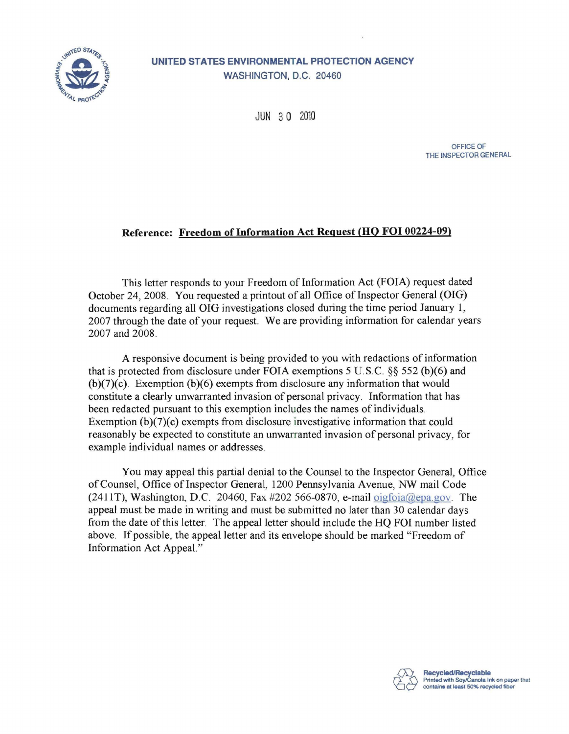

**UNITED STATES ENVIRONMENTAL PROTECTION AGENCY**  WASHINGTON, D.C. 20460

JUN 30 2010

OFFICE OF THE INSPECTOR GENERAL

## Reference: Freedom of Information Act Request (HQ **FOI** 00224-09)

This letter responds to your Freedom of Information Act (FOIA) request dated October 24, 2008. You requested a printout of all Office of Inspector General (OIG) documents regarding all OIG investigations closed during the time period January 1, 2007 through the date of your request. We are providing information for calendar years 2007 and 2008.

A responsive document is being provided to you with redactions of information that is protected from disclosure under FOIA exemptions 5 U.S.C.  $\S 52$  (b)(6) and (b)(7)(c). Exemption (b)(6) exempts from disclosure any information that would constitute a clearly unwarranted invasion of personal privacy. Information that has been redacted pursuant to this exemption includes the names of individuals. Exemption  $(b)(7)(c)$  exempts from disclosure investigative information that could reasonably be expected to constitute an unwarranted invasion of personal privacy, for example individual names or addresses.

You may appeal this partial denial to the Counsel to the Inspector General, Office of Counsel, Office of Inspector General, 1200 Pennsylvania Avenue, NW mail Code (2411T), Washington, D.C. 20460, Fax #202 566-0870, e-mail oigfoia@epa.gov. The appeal must be made in writing and must be submitted no later than 30 calendar days from the date of this letter. The appeal letter should include the HQ FOI number listed above. If possible, the appeal letter and its envelope should be marked "Freedom of Information Act Appeal."

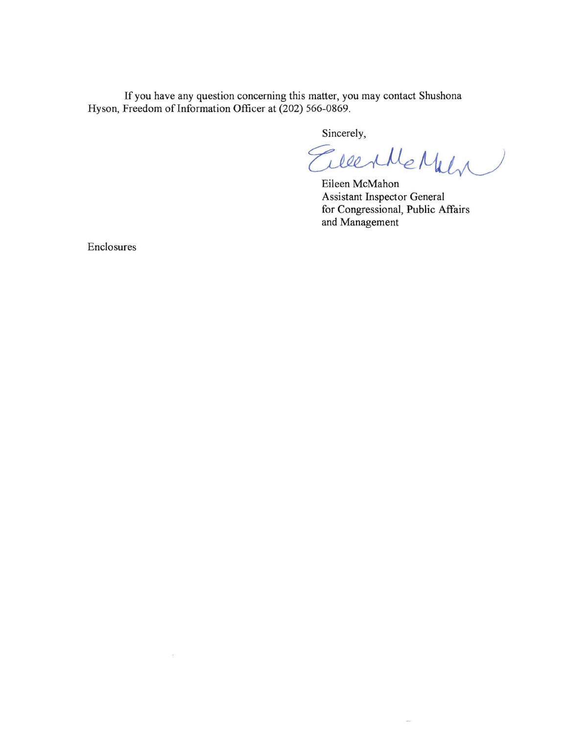**If** you have any question concerning this matter, you may contact Shushona Hyson, Freedom of Information Officer at (202) 566-0869.

Sincerely,<br>EllerMeMuly

 $\sim$ 

Eileen McMahon Assistant Inspector General for Congressional, **Public** Affairs and Management

Enclosures

 $\mathbf{R}$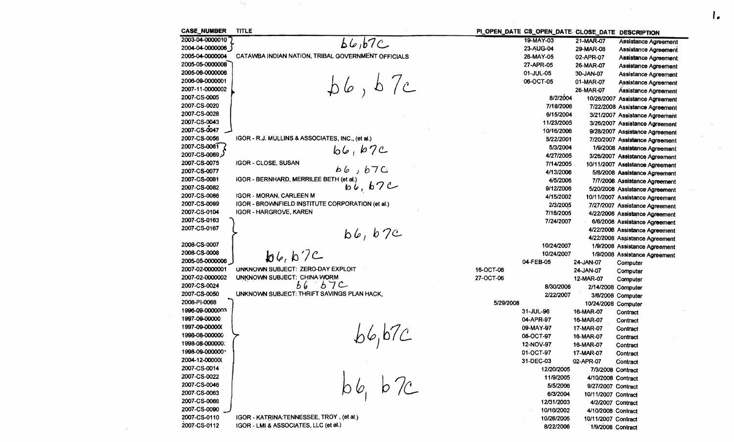| <b>CASE_NUMBER</b>             | <b>TITLE</b>                                                                      | PI_OPEN_DATE CS_OPEN_DATE CLOSE_DATE DESCRIPTION |                     |                                                                 |
|--------------------------------|-----------------------------------------------------------------------------------|--------------------------------------------------|---------------------|-----------------------------------------------------------------|
| 2003-04-0000010                | 66, b7C                                                                           | 19-MAY-03                                        | 21-MAR-07           | <b>Assistance Agreement</b>                                     |
| 2004-04-0000006                |                                                                                   | 23-AUG-04                                        | 29-MAR-08           | Assistance Agreement                                            |
| 2005-04-0000004                | CATAWBA INDIAN NATION, TRIBAL GOVERNMENT OFFICIALS                                | 26-MAY-05                                        | 02-APR-07           | Assistance Agreement                                            |
| 2005-05-0000008                |                                                                                   | 27-APR-05                                        | 26-MAR-07           | Assistance Agreement                                            |
| 2005-06-0000006                |                                                                                   | 01-JUL-05                                        | 30-JAN-07           | Assistance Agreement                                            |
| 2006-09-0000001                |                                                                                   | 06-OCT-05                                        | 01-MAR-07           | Assistance Agreement                                            |
| 2007-11-0000002                | bb, b7c                                                                           |                                                  | 26-MAR-07           | Ássistance Agreement                                            |
| 2007-CS-0005                   |                                                                                   | 8/2/2004                                         |                     | 10/26/2007 Assistance Agreement                                 |
| 2007-CS-0020                   |                                                                                   | 7/18/2006                                        |                     | 7/22/2008 Assistance Agreement                                  |
| 2007-CS-0028                   |                                                                                   | 6/15/2004                                        |                     | 3/21/2007 Assistance Agreement                                  |
| 2007-CS-0043                   |                                                                                   | 11/23/2005                                       |                     | 3/26/2007 Assistance Agreement                                  |
| 2007-CS-0047                   |                                                                                   | 10/16/2006                                       |                     | 9/28/2007 Assistance Agreement                                  |
| 2007-CS-0056                   | IGOR - R.J. MULLINS & ASSOCIATES, INC., (et al.)                                  | 5/22/2001                                        |                     | 7/20/2007 Assistance Agreement                                  |
| 2007-CS-0061                   |                                                                                   | 5/3/2004                                         |                     | 1/9/2008 Assistance Agreement                                   |
| لز2007-CS-0069                 | b6, b7c                                                                           | 4/27/2005                                        |                     | 3/26/2007 Assistance Agreement                                  |
| 2007-CS-0075                   | IGOR - CLOSE, SUSAN                                                               | 7/14/2005                                        |                     | 10/11/2007 Assistance Agreement                                 |
| 2007-CS-0077                   | 66,670                                                                            | 4/13/2006                                        |                     | 5/8/2008 Assistance Agreement                                   |
| 2007-CS-0081                   | IGOR - BERNHARD, MERRILEE BETH (et al.)                                           | 4/5/2006                                         |                     | 7/7/2008 Assistance Agreement                                   |
| 2007-CS-0082                   | $\overline{bb}$ , $b7C$                                                           | 9/12/2006                                        |                     | 5/20/2008 Assistance Agreement                                  |
| 2007-CS-0086                   | <b>IGOR - MORAN, CARLEEN M</b>                                                    | 4/15/2002                                        |                     | 10/11/2007 Assistance Agreement                                 |
| 2007-CS-0099                   | IGOR - BROWNFIELD INSTITUTE CORPORATION (et al.)                                  | 2/3/2005                                         |                     | 7/27/2007 Assistance Agreement                                  |
| 2007-CS-0104                   | <b>IGOR - HARGROVE, KAREN</b>                                                     | 7/18/2005                                        |                     | 4/22/2008 Assistance Agreement                                  |
| 2007-CS-0163                   |                                                                                   | 7/24/2007                                        |                     |                                                                 |
| 2007-CS-0167                   |                                                                                   |                                                  |                     | 6/6/2008 Assistance Agreement                                   |
|                                | b6, b7c                                                                           |                                                  |                     | 4/22/2008 Assistance Agreement                                  |
| 2008-CS-0007                   |                                                                                   | 10/24/2007                                       |                     | 4/22/2008 Assistance Agreement<br>1/9/2008 Assistance Agreement |
| 2008-CS-0008                   |                                                                                   | 10/24/2007                                       |                     |                                                                 |
| 2005-05-0000006                | b4, b7c                                                                           | 04-FEB-05                                        | 24-JAN-07           | 1/9/2008 Assistance Agreement                                   |
| 2007-02-0000001                | UNKNOWN SUBJECT: ZERO-DAY EXPLOIT                                                 | 16-OCT-06                                        | 24-JAN-07           | Computer                                                        |
| 2007-02-0000002                | UNKNOWN SUBJECT: CHINA WORM                                                       | 27-OCT-06                                        | 12-MAR-07           | Computer                                                        |
| 2007-CS-0024                   | $56\quad 57$ C                                                                    | 8/30/2006                                        |                     | Computer                                                        |
| 2007-CS-0050                   | UNKNOWN SUBJECT: THRIFT SAVINGS PLAN HACK,                                        | 2/22/2007                                        | 2/14/2008 Computer  |                                                                 |
| 2008-PI-0068                   |                                                                                   | 5/29/2008                                        |                     | 3/6/2008 Computer                                               |
| 1996-09-0000003                |                                                                                   |                                                  | 10/24/2008 Computer |                                                                 |
| 1997-09-00000                  |                                                                                   | 31-JUL-96                                        | 16-MAR-07           | Contract                                                        |
| 1997-09-00000(                 |                                                                                   | 04-APR-97                                        | 16-MAR-07           | Contract                                                        |
| 1998-08-000000                 | 6.67c                                                                             | 09-MAY-97                                        | 17-MAR-07           | Contract                                                        |
| 1998-08-000000                 |                                                                                   | 08-OCT-97                                        | 16-MAR-07           | Contract                                                        |
| 1998-09-000000?                |                                                                                   | 12-NOV-97                                        | 16-MAR-07           | Contract                                                        |
|                                |                                                                                   | 01-OCT-97                                        | 17-MAR-07           | Contract                                                        |
| 2004-12-00000(<br>2007-CS-0014 |                                                                                   | 31-DEC-03                                        | 02-APR-07           | Contract                                                        |
|                                |                                                                                   | 12/20/2005                                       | 7/3/2008 Contract   |                                                                 |
| 2007-CS-0022                   | $bb_6$ b $7c$                                                                     | 11/9/2005                                        | 4/10/2008 Contract  |                                                                 |
| 2007-CS-0046                   |                                                                                   | 5/5/2006                                         | 9/27/2007 Contract  |                                                                 |
| 2007-CS-0063                   |                                                                                   | 6/3/2004                                         | 10/11/2007 Contract |                                                                 |
| 2007-CS-0066                   |                                                                                   | 12/31/2003                                       | 4/2/2007 Contract   |                                                                 |
| 2007-CS-0090                   |                                                                                   | 10/10/2002                                       | 4/10/2008 Contract  |                                                                 |
| 2007-CS-0110<br>2007-CS-0112   | IGOR - KATRINA:TENNESSEE, TROY, (et al.)<br>IGOR - LMI & ASSOCIATES, LLC (et al.) | 10/26/2005                                       | 10/11/2007 Contract |                                                                 |
|                                |                                                                                   | 8/22/2006                                        | 1/9/2008 Contract   |                                                                 |

 $\mathcal{L}^{\text{max}}_{\text{max}}$ 

 $\mathbf{I}_{\bullet}$ 

 $\mathcal{L}^{\mathcal{L}}$  and  $\mathcal{L}^{\mathcal{L}}$  are the set of the set of the set of the  $\mathcal{L}^{\mathcal{L}}$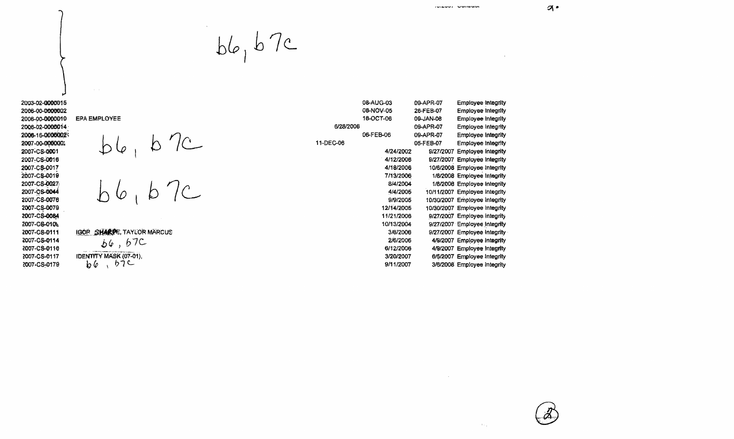$\sim$   $\alpha$ 

 $\sigma$ .

2003-02-0000015 2006-00-0000002 2006-00-0000010 2006-02-0000014 2006-16-00000023 2007-00-000000: 2007-CS-0001 2007-CS-0016 2007-CS-0017 2007-CS-0019 2007-CS-0027 2007-CS-0044 2007-CS-0076 2007-CS-0079 2007-CS-0084 2007-CS-010L 2007-CS-0111 2007-CS-0114 2007-CS-0116 2007-CS-0117 2007-CS-0179

 $bb_0$   $b7c$ 

EPA EMPLOYEE  $bb6, b7c$ <br> $b6, b7c$ 

IGOR SHARPE, TAYLOR MARCUS

 $66,67C$ IDENTITY MASK (07-01),  $b6, b7c$ 

|           | 08-AUG-03  | 09-APR-07 | <b>Employee Integrity</b>     |
|-----------|------------|-----------|-------------------------------|
|           | 08-NOV-05  | 26-FEB-07 | <b>Employee Integrity</b>     |
|           | 18-OCT-06  | 09-JAN-08 | <b>Employee Integrity</b>     |
| 6/28/2006 |            | 09-APR-07 | <b>Employee Integrity</b>     |
|           | 06-FEB-06  | 09-APR-07 | <b>Employee Integrity</b>     |
| 11-DEC-06 |            | 05-FEB-07 | <b>Employee Integrity</b>     |
|           | 4/24/2002  |           | 9/27/2007 Employee Integrity  |
|           | 4/12/2006  |           | 9/27/2007 Employee Integrity  |
|           | 4/18/2006  |           | 10/6/2008 Employee Integrity  |
|           | 7/13/2006  |           | 1/8/2008 Employee Integrity   |
|           | 8/4/2004   |           | 1/8/2008 Employee Integrity   |
|           | 4/4/2005   |           | 10/11/2007 Employee Integrity |
|           | 9/9/2005   |           | 10/30/2007 Employee Integrity |
|           | 12/14/2005 |           | 10/30/2007 Employee Integrity |
|           | 11/21/2006 |           | 9/27/2007 Employee Integrity  |
|           | 10/13/2004 |           | 9/27/2007 Employee Integrity  |
|           | 3/6/2006   |           | 9/27/2007 Employee Integrity  |
|           | 2/6/2006   |           | 4/9/2007 Employee Integrity   |
|           | 6/12/2006  |           | 4/9/2007 Employee Integrity   |
|           | 3/20/2007  |           | 6/5/2007 Employee Integrity   |
|           | 9/11/2007  |           | 3/6/2008 Employee Integrity   |

 $\sim$ 

 $\Delta\phi_{\rm{in}}$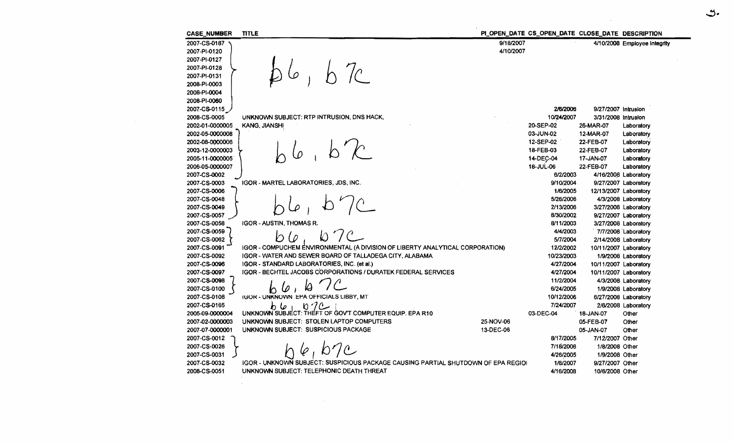**CASE NUMBER TITLE** PLOPEN DATE CS\_OPEN\_DATE CLOSE DATE DESCRIPTION 2007-CS-0187 9/18/2007 4/10/2008 Employee integrity 2007-PI-0120 4/10/2007 2007-PI-0127 2007-PI-0128 2007-PI-0131 2008-PI-0003 2008-PI-0004 2008-PI-0060 2007-CS-0115 2/6/2006 9/27/2007 Intrusion 2008-CS-0005 UNKNOWN SUBJECT: RTP INTRUSION, DNS HACK, 10/24/2007 3/31/2008 Intrusion KANG, JIANSHI 20-SEP-02 2002-01-0000005 26-MAR-07 Laboratory 2002-05-0000008 03-JUN-02 12-MAR-07 Laboratory 2002-08-0000006 12-SEP-02 22-FEB-07 Laboratory 18-FEB-03 2003-12-0000003 22-FEB-07 Laboratory 2005-11-0000005 14-DEC-04 17-JAN-07 Laboratory 2006-05-0000007 18-JUL-06 22-FEB-07 Laboratory 2007-CS-0002 6/2/2003 4/16/2008 Laboratory 2007-CS-0003 IGOR - MARTEL LABORATORIES, JDS, INC. 9/10/2004 9/27/2007 Laboratory 2007-CS-0006 1/6/2005 12/13/2007 Laboratory 2007-CS-0048 5/26/2006 4/3/2008 Laboratory 2/13/2006 2007-CS-0049 3/27/2008 Laboratory 2007-CS-0057 8/30/2002 9/27/2007 Laboratory 2007-CS-0058 **IGOR - AUSTIN, THOMAS R.** 8/11/2003 3/27/2008 Laboratory 2007-CS-0059 4/4/2003 7/7/2008 Laboratory D (0 2007-CS-0062 5/7/2004 2/14/2008 Laboratory 2007-CS-0091 IGOR - COMPUCHEM ENVIRONMENTAL (A DIVISION OF LIBERTY ANALYTICAL CORPORATION) 12/2/2002 10/11/2007 Laboratory 2007-CS-0092 IGOR - WATER AND SEWER BOARD OF TALLADEGA CITY, ALABAMA 10/23/2003 1/9/2008 Laboratory 2007-CS-0096 IGOR - STANDARD LABORATORIES, INC. (et al.) 4/27/2004 10/11/2007 Laboratory IGOR - BECHTEL JACOBS CORPORATIONS / DURATEK FEDERAL SERVICES 2007-CS-0097 4/27/2004 10/11/2007 Laboratory 2007-CS-0098 11/2/2004 4/3/2008 Laboratory  $601$  $\omega$ 2007-CS-0100 6/24/2005 1/9/2008 Laboratory 2007-CS-0108 **IGOR - UNKNOWN EPA OFFICIALS LIBBY, MT** 10/12/2006 6/27/2008 Laboratory 2007-CS-0165 7/24/2007 2/6/2008 Laboratory ا حا دا  $n7c$ 2005-09-0000004 UNKNOWN SUBJECT: THEFT OF GOVT COMPUTER EQUIP. EPA R10 03-DEC-04 18-JAN-07 Other UNKNOWN SUBJECT: STOLEN LAPTOP COMPUTERS 2007-02-0000003 25-NOV-06 05-FEB-07 Other 2007-07-0000001 UNKNOWN SUBJECT: SUSPICIOUS PACKAGE 13-DEC-06 05-JAN-07 Other 2007-CS-0012 8/17/2005 7/12/2007 Other  $b7c$ 2007-CS-0026 7/18/2006 1/8/2008 Other 2007-CS-0031 4/26/2005 1/9/2008 Other 2007-CS-0032 **IGOR - UNKNOWN SUBJECT: SUSPICIOUS PACKAGE CAUSING PARTIAL SHUTDOWN OF EPA REGIOI** 1/8/2007 9/27/2007 Other 2008-CS-0051 UNKNOWN SUBJECT: TELEPHONIC DEATH THREAT 4/16/2008 10/6/2008 Other

. پن